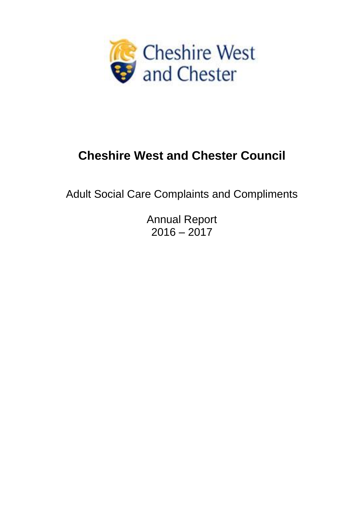

# **Cheshire West and Chester Council**

Adult Social Care Complaints and Compliments

Annual Report  $2016 - 2017$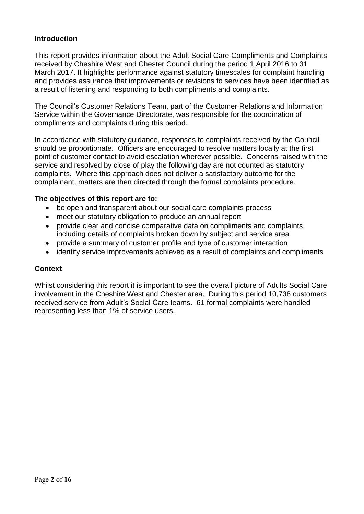#### **Introduction**

This report provides information about the Adult Social Care Compliments and Complaints received by Cheshire West and Chester Council during the period 1 April 2016 to 31 March 2017. It highlights performance against statutory timescales for complaint handling and provides assurance that improvements or revisions to services have been identified as a result of listening and responding to both compliments and complaints.

The Council's Customer Relations Team, part of the Customer Relations and Information Service within the Governance Directorate, was responsible for the coordination of compliments and complaints during this period.

In accordance with statutory guidance, responses to complaints received by the Council should be proportionate. Officers are encouraged to resolve matters locally at the first point of customer contact to avoid escalation wherever possible. Concerns raised with the service and resolved by close of play the following day are not counted as statutory complaints. Where this approach does not deliver a satisfactory outcome for the complainant, matters are then directed through the formal complaints procedure.

#### **The objectives of this report are to:**

- be open and transparent about our social care complaints process
- meet our statutory obligation to produce an annual report
- provide clear and concise comparative data on compliments and complaints, including details of complaints broken down by subject and service area
- provide a summary of customer profile and type of customer interaction
- identify service improvements achieved as a result of complaints and compliments

#### **Context**

Whilst considering this report it is important to see the overall picture of Adults Social Care involvement in the Cheshire West and Chester area. During this period 10,738 customers received service from Adult's Social Care teams. 61 formal complaints were handled representing less than 1% of service users.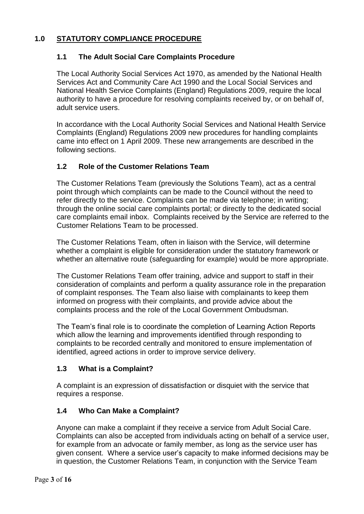# **1.0 STATUTORY COMPLIANCE PROCEDURE**

# **1.1 The Adult Social Care Complaints Procedure**

The Local Authority Social Services Act 1970, as amended by the National Health Services Act and Community Care Act 1990 and the Local Social Services and National Health Service Complaints (England) Regulations 2009, require the local authority to have a procedure for resolving complaints received by, or on behalf of, adult service users.

In accordance with the Local Authority Social Services and National Health Service Complaints (England) Regulations 2009 new procedures for handling complaints came into effect on 1 April 2009. These new arrangements are described in the following sections.

#### **1.2 Role of the Customer Relations Team**

The Customer Relations Team (previously the Solutions Team), act as a central point through which complaints can be made to the Council without the need to refer directly to the service. Complaints can be made via telephone; in writing; through the online social care complaints portal; or directly to the dedicated social care complaints email inbox. Complaints received by the Service are referred to the Customer Relations Team to be processed.

The Customer Relations Team, often in liaison with the Service, will determine whether a complaint is eligible for consideration under the statutory framework or whether an alternative route (safeguarding for example) would be more appropriate.

The Customer Relations Team offer training, advice and support to staff in their consideration of complaints and perform a quality assurance role in the preparation of complaint responses. The Team also liaise with complainants to keep them informed on progress with their complaints, and provide advice about the complaints process and the role of the Local Government Ombudsman.

The Team's final role is to coordinate the completion of Learning Action Reports which allow the learning and improvements identified through responding to complaints to be recorded centrally and monitored to ensure implementation of identified, agreed actions in order to improve service delivery.

# **1.3 What is a Complaint?**

A complaint is an expression of dissatisfaction or disquiet with the service that requires a response.

# **1.4 Who Can Make a Complaint?**

Anyone can make a complaint if they receive a service from Adult Social Care. Complaints can also be accepted from individuals acting on behalf of a service user, for example from an advocate or family member, as long as the service user has given consent. Where a service user's capacity to make informed decisions may be in question, the Customer Relations Team, in conjunction with the Service Team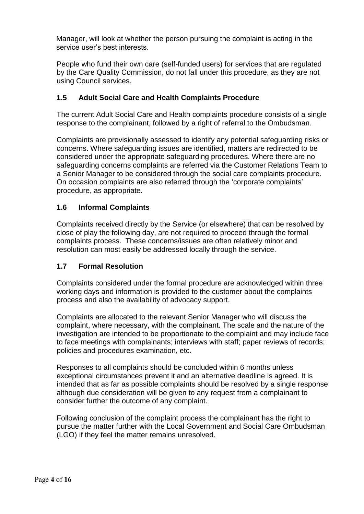Manager, will look at whether the person pursuing the complaint is acting in the service user's best interests.

People who fund their own care (self-funded users) for services that are regulated by the Care Quality Commission, do not fall under this procedure, as they are not using Council services.

# **1.5 Adult Social Care and Health Complaints Procedure**

The current Adult Social Care and Health complaints procedure consists of a single response to the complainant, followed by a right of referral to the Ombudsman.

Complaints are provisionally assessed to identify any potential safeguarding risks or concerns. Where safeguarding issues are identified, matters are redirected to be considered under the appropriate safeguarding procedures. Where there are no safeguarding concerns complaints are referred via the Customer Relations Team to a Senior Manager to be considered through the social care complaints procedure. On occasion complaints are also referred through the 'corporate complaints' procedure, as appropriate.

#### **1.6 Informal Complaints**

Complaints received directly by the Service (or elsewhere) that can be resolved by close of play the following day, are not required to proceed through the formal complaints process. These concerns/issues are often relatively minor and resolution can most easily be addressed locally through the service.

#### **1.7 Formal Resolution**

Complaints considered under the formal procedure are acknowledged within three working days and information is provided to the customer about the complaints process and also the availability of advocacy support.

Complaints are allocated to the relevant Senior Manager who will discuss the complaint, where necessary, with the complainant. The scale and the nature of the investigation are intended to be proportionate to the complaint and may include face to face meetings with complainants; interviews with staff; paper reviews of records; policies and procedures examination, etc.

Responses to all complaints should be concluded within 6 months unless exceptional circumstances prevent it and an alternative deadline is agreed. It is intended that as far as possible complaints should be resolved by a single response although due consideration will be given to any request from a complainant to consider further the outcome of any complaint.

Following conclusion of the complaint process the complainant has the right to pursue the matter further with the Local Government and Social Care Ombudsman (LGO) if they feel the matter remains unresolved.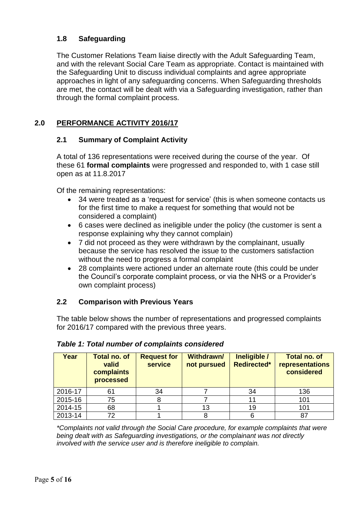# **1.8 Safeguarding**

The Customer Relations Team liaise directly with the Adult Safeguarding Team, and with the relevant Social Care Team as appropriate. Contact is maintained with the Safeguarding Unit to discuss individual complaints and agree appropriate approaches in light of any safeguarding concerns. When Safeguarding thresholds are met, the contact will be dealt with via a Safeguarding investigation, rather than through the formal complaint process.

# **2.0 PERFORMANCE ACTIVITY 2016/17**

# **2.1 Summary of Complaint Activity**

A total of 136 representations were received during the course of the year. Of these 61 **formal complaints** were progressed and responded to, with 1 case still open as at 11.8.2017

Of the remaining representations:

- 34 were treated as a 'request for service' (this is when someone contacts us for the first time to make a request for something that would not be considered a complaint)
- 6 cases were declined as ineligible under the policy (the customer is sent a response explaining why they cannot complain)
- 7 did not proceed as they were withdrawn by the complainant, usually because the service has resolved the issue to the customers satisfaction without the need to progress a formal complaint
- 28 complaints were actioned under an alternate route (this could be under the Council's corporate complaint process, or via the NHS or a Provider's own complaint process)

# **2.2 Comparison with Previous Years**

The table below shows the number of representations and progressed complaints for 2016/17 compared with the previous three years.

| Year    | <b>Total no. of</b><br>valid<br>complaints<br>processed | <b>Request for</b><br><b>service</b> | <b>Withdrawn/</b><br>not pursued | Ineligible /<br><b>Redirected*</b> | <b>Total no. of</b><br>representations<br>considered |
|---------|---------------------------------------------------------|--------------------------------------|----------------------------------|------------------------------------|------------------------------------------------------|
| 2016-17 | 61                                                      | 34                                   |                                  | 34                                 | 136                                                  |
| 2015-16 | 75                                                      |                                      |                                  |                                    | 101                                                  |
| 2014-15 | 68                                                      |                                      | 13                               | 19                                 | 101                                                  |
| 2013-14 | 72                                                      |                                      |                                  |                                    | 87                                                   |

*Table 1: Total number of complaints considered*

*\*Complaints not valid through the Social Care procedure, for example complaints that were being dealt with as Safeguarding investigations, or the complainant was not directly involved with the service user and is therefore ineligible to complain.*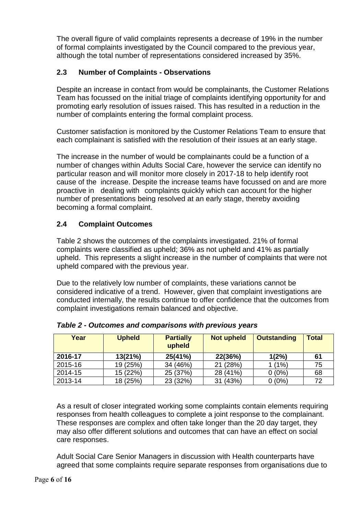The overall figure of valid complaints represents a decrease of 19% in the number of formal complaints investigated by the Council compared to the previous year, although the total number of representations considered increased by 35%.

# **2.3 Number of Complaints - Observations**

Despite an increase in contact from would be complainants, the Customer Relations Team has focussed on the initial triage of complaints identifying opportunity for and promoting early resolution of issues raised. This has resulted in a reduction in the number of complaints entering the formal complaint process.

Customer satisfaction is monitored by the Customer Relations Team to ensure that each complainant is satisfied with the resolution of their issues at an early stage.

The increase in the number of would be complainants could be a function of a number of changes within Adults Social Care, however the service can identify no particular reason and will monitor more closely in 2017-18 to help identify root cause of the increase. Despite the increase teams have focussed on and are more proactive in dealing with complaints quickly which can account for the higher number of presentations being resolved at an early stage, thereby avoiding becoming a formal complaint.

# **2.4 Complaint Outcomes**

Table 2 shows the outcomes of the complaints investigated. 21% of formal complaints were classified as upheld; 36% as not upheld and 41% as partially upheld. This represents a slight increase in the number of complaints that were not upheld compared with the previous year.

Due to the relatively low number of complaints, these variations cannot be considered indicative of a trend. However, given that complaint investigations are conducted internally, the results continue to offer confidence that the outcomes from complaint investigations remain balanced and objective.

| Year    | <b>Upheld</b> | <b>Partially</b><br>upheld | <b>Not upheld</b> | <b>Outstanding</b> | <b>Total</b> |
|---------|---------------|----------------------------|-------------------|--------------------|--------------|
| 2016-17 | 13(21%)       | 25(41%)                    | 22(36%)           | 1(2%)              | 61           |
| 2015-16 | 19 (25%)      | 34 (46%)                   | 21 (28%)          | $1(1\%)$           | 75           |
| 2014-15 | 15 (22%)      | 25 (37%)                   | 28 (41%)          | $0(0\%)$           | 68           |
| 2013-14 | 18 (25%)      | 23 (32%)                   | 31 (43%)          | $0(0\%)$           | 72           |

*Table 2 - Outcomes and comparisons with previous years*

As a result of closer integrated working some complaints contain elements requiring responses from health colleagues to complete a joint response to the complainant. These responses are complex and often take longer than the 20 day target, they may also offer different solutions and outcomes that can have an effect on social care responses.

Adult Social Care Senior Managers in discussion with Health counterparts have agreed that some complaints require separate responses from organisations due to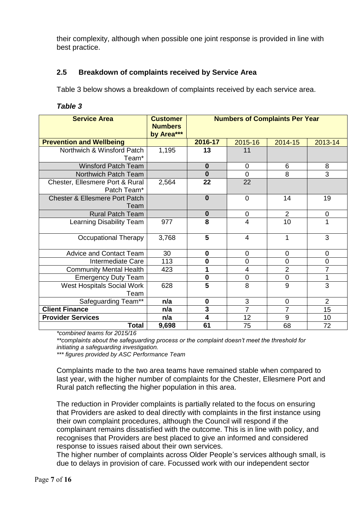their complexity, although when possible one joint response is provided in line with best practice.

# **2.5 Breakdown of complaints received by Service Area**

Table 3 below shows a breakdown of complaints received by each service area.

| able |  |
|------|--|
|------|--|

| <b>Service Area</b>                               | <b>Customer</b><br><b>Numbers</b><br>by Area*** | <b>Numbers of Complaints Per Year</b> |                |                |                |
|---------------------------------------------------|-------------------------------------------------|---------------------------------------|----------------|----------------|----------------|
| <b>Prevention and Wellbeing</b>                   |                                                 | 2016-17                               | 2015-16        | 2014-15        | 2013-14        |
| Northwich & Winsford Patch<br>Team <sup>*</sup>   | 1,195                                           | 13                                    | 11             |                |                |
| <b>Winsford Patch Team</b>                        |                                                 | $\bf{0}$                              | $\overline{0}$ | 6              | 8              |
| Northwich Patch Team                              |                                                 | $\bf{0}$                              | $\overline{0}$ | 8              | 3              |
| Chester, Ellesmere Port & Rural<br>Patch Team*    | 2,564                                           | 22                                    | 22             |                |                |
| <b>Chester &amp; Ellesmere Port Patch</b><br>Team |                                                 | $\bf{0}$                              | $\mathbf 0$    | 14             | 19             |
| <b>Rural Patch Team</b>                           |                                                 | $\bf{0}$                              | $\overline{0}$ | $\overline{2}$ | $\pmb{0}$      |
| Learning Disability Team                          | 977                                             | 8                                     | $\overline{4}$ | 10             | 1              |
| <b>Occupational Therapy</b>                       | 3,768                                           | $\overline{\mathbf{5}}$               | $\overline{4}$ | 1              | 3              |
| <b>Advice and Contact Team</b>                    | 30                                              | $\bf{0}$                              | $\mathbf 0$    | $\mathbf 0$    | $\mathbf 0$    |
| Intermediate Care                                 | 113                                             | $\bf{0}$                              | $\mathbf 0$    | 0              | $\mathbf 0$    |
| <b>Community Mental Health</b>                    | 423                                             | 1                                     | 4              | $\overline{2}$ | $\overline{7}$ |
| <b>Emergency Duty Team</b>                        |                                                 | $\bf{0}$                              | $\mathbf 0$    | 0              | 1              |
| West Hospitals Social Work<br>Team                | 628                                             | $\overline{\mathbf{5}}$               | 8              | 9              | 3              |
| Safeguarding Team**                               | n/a                                             | $\bf{0}$                              | 3              | $\mathbf 0$    | $\overline{2}$ |
| <b>Client Finance</b>                             | n/a                                             | 3                                     | $\overline{7}$ | $\overline{7}$ | 15             |
| <b>Provider Services</b>                          | n/a                                             | 4                                     | 12             | 9              | 10             |
| <b>Total</b>                                      | 9,698                                           | 61                                    | 75             | 68             | 72             |

*\*combined teams for 2015/16*

*\*\*complaints about the safeguarding process or the complaint doesn't meet the threshold for initiating a safeguarding investigation.*

*\*\*\* figures provided by ASC Performance Team*

Complaints made to the two area teams have remained stable when compared to last year, with the higher number of complaints for the Chester, Ellesmere Port and Rural patch reflecting the higher population in this area.

The reduction in Provider complaints is partially related to the focus on ensuring that Providers are asked to deal directly with complaints in the first instance using their own complaint procedures, although the Council will respond if the complainant remains dissatisfied with the outcome. This is in line with policy, and recognises that Providers are best placed to give an informed and considered response to issues raised about their own services.

The higher number of complaints across Older People's services although small, is due to delays in provision of care. Focussed work with our independent sector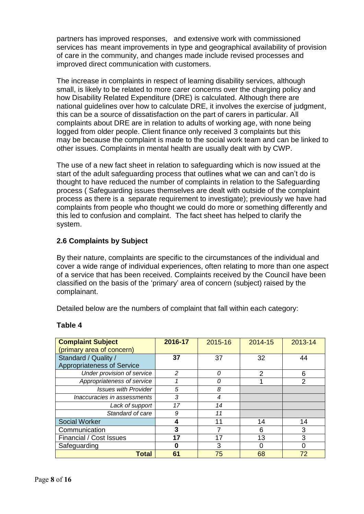partners has improved responses, and extensive work with commissioned services has meant improvements in type and geographical availability of provision of care in the community, and changes made include revised processes and improved direct communication with customers.

The increase in complaints in respect of learning disability services, although small, is likely to be related to more carer concerns over the charging policy and how Disability Related Expenditure (DRE) is calculated. Although there are national guidelines over how to calculate DRE, it involves the exercise of judgment, this can be a source of dissatisfaction on the part of carers in particular. All complaints about DRE are in relation to adults of working age, with none being logged from older people. Client finance only received 3 complaints but this may be because the complaint is made to the social work team and can be linked to other issues. Complaints in mental health are usually dealt with by CWP.

The use of a new fact sheet in relation to safeguarding which is now issued at the start of the adult safeguarding process that outlines what we can and can't do is thought to have reduced the number of complaints in relation to the Safeguarding process ( Safeguarding issues themselves are dealt with outside of the complaint process as there is a separate requirement to investigate); previously we have had complaints from people who thought we could do more or something differently and this led to confusion and complaint. The fact sheet has helped to clarify the system.

# **2.6 Complaints by Subject**

By their nature, complaints are specific to the circumstances of the individual and cover a wide range of individual experiences, often relating to more than one aspect of a service that has been received. Complaints received by the Council have been classified on the basis of the 'primary' area of concern (subject) raised by the complainant.

Detailed below are the numbers of complaint that fall within each category:

| <b>Complaint Subject</b>    | 2016-17                  | 2015-16 | 2014-15       | 2013-14        |
|-----------------------------|--------------------------|---------|---------------|----------------|
| (primary area of concern)   |                          |         |               |                |
| Standard / Quality /        | 37                       | 37      | 32            | 44             |
| Appropriateness of Service  |                          |         |               |                |
| Under provision of service  | $\overline{\mathcal{L}}$ | 0       | $\mathcal{P}$ | 6              |
| Appropriateness of service  |                          |         |               | $\overline{2}$ |
| <b>Issues with Provider</b> | 5                        | 8       |               |                |
| Inaccuracies in assessments | 3                        | 4       |               |                |
| Lack of support             | 17                       | 14      |               |                |
| Standard of care            | 9                        | 11      |               |                |
| <b>Social Worker</b>        | 4                        | 11      | 14            | 14             |
| Communication               | 3                        |         | 6             | 3              |
| Financial / Cost Issues     | 17                       | 17      | 13            | 3              |
| Safeguarding                | O                        | 3       |               | 0              |
| <b>Total</b>                | 61                       | 75      | 68            | 72             |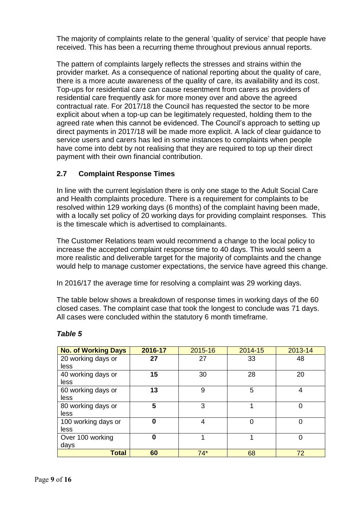The majority of complaints relate to the general 'quality of service' that people have received. This has been a recurring theme throughout previous annual reports.

The pattern of complaints largely reflects the stresses and strains within the provider market. As a consequence of national reporting about the quality of care, there is a more acute awareness of the quality of care, its availability and its cost. Top-ups for residential care can cause resentment from carers as providers of residential care frequently ask for more money over and above the agreed contractual rate. For 2017/18 the Council has requested the sector to be more explicit about when a top-up can be legitimately requested, holding them to the agreed rate when this cannot be evidenced. The Council's approach to setting up direct payments in 2017/18 will be made more explicit. A lack of clear guidance to service users and carers has led in some instances to complaints when people have come into debt by not realising that they are required to top up their direct payment with their own financial contribution.

# **2.7 Complaint Response Times**

In line with the current legislation there is only one stage to the Adult Social Care and Health complaints procedure. There is a requirement for complaints to be resolved within 129 working days (6 months) of the complaint having been made, with a locally set policy of 20 working days for providing complaint responses. This is the timescale which is advertised to complainants.

The Customer Relations team would recommend a change to the local policy to increase the accepted complaint response time to 40 days. This would seem a more realistic and deliverable target for the majority of complaints and the change would help to manage customer expectations, the service have agreed this change.

In 2016/17 the average time for resolving a complaint was 29 working days.

The table below shows a breakdown of response times in working days of the 60 closed cases. The complaint case that took the longest to conclude was 71 days. All cases were concluded within the statutory 6 month timeframe.

| <b>No. of Working Days</b> | 2016-17 | 2015-16 | 2014-15 | 2013-14 |
|----------------------------|---------|---------|---------|---------|
| 20 working days or         | 27      | 27      | 33      | 48      |
| less                       |         |         |         |         |
| 40 working days or         | 15      | 30      | 28      | 20      |
| less                       |         |         |         |         |
| 60 working days or         | 13      | 9       | 5       | 4       |
| less                       |         |         |         |         |
| 80 working days or         | 5       | 3       |         | 0       |
| less                       |         |         |         |         |
| 100 working days or        | 0       | 4       | 0       | 0       |
| less                       |         |         |         |         |
| Over 100 working           | 0       |         | 4       | 0       |
| days                       |         |         |         |         |
| <b>Total</b>               | 60      | $74*$   | 68      | 72      |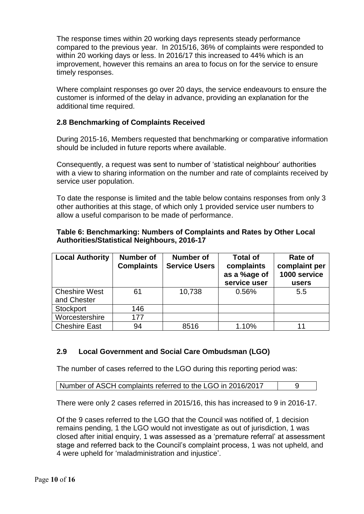The response times within 20 working days represents steady performance compared to the previous year. In 2015/16, 36% of complaints were responded to within 20 working days or less. In 2016/17 this increased to 44% which is an improvement, however this remains an area to focus on for the service to ensure timely responses.

Where complaint responses go over 20 days, the service endeavours to ensure the customer is informed of the delay in advance, providing an explanation for the additional time required.

# **2.8 Benchmarking of Complaints Received**

During 2015-16, Members requested that benchmarking or comparative information should be included in future reports where available.

Consequently, a request was sent to number of 'statistical neighbour' authorities with a view to sharing information on the number and rate of complaints received by service user population.

To date the response is limited and the table below contains responses from only 3 other authorities at this stage, of which only 1 provided service user numbers to allow a useful comparison to be made of performance.

| <b>Local Authority</b> | <b>Number of</b><br><b>Complaints</b> | <b>Number of</b><br><b>Service Users</b> | <b>Total of</b><br>complaints<br>as a %age of<br>service user | Rate of<br>complaint per<br>1000 service<br>users |
|------------------------|---------------------------------------|------------------------------------------|---------------------------------------------------------------|---------------------------------------------------|
| <b>Cheshire West</b>   | 61                                    | 10,738                                   | 0.56%                                                         | 5.5                                               |
| and Chester            |                                       |                                          |                                                               |                                                   |
| Stockport              | 146                                   |                                          |                                                               |                                                   |
| Worcestershire         | 177                                   |                                          |                                                               |                                                   |
| <b>Cheshire East</b>   | 94                                    | 8516                                     | 1.10%                                                         |                                                   |

#### **Table 6: Benchmarking: Numbers of Complaints and Rates by Other Local Authorities/Statistical Neighbours, 2016-17**

# **2.9 Local Government and Social Care Ombudsman (LGO)**

The number of cases referred to the LGO during this reporting period was:

Number of ASCH complaints referred to the LGO in 2016/2017 | 9

There were only 2 cases referred in 2015/16, this has increased to 9 in 2016-17.

Of the 9 cases referred to the LGO that the Council was notified of, 1 decision remains pending, 1 the LGO would not investigate as out of jurisdiction, 1 was closed after initial enquiry, 1 was assessed as a 'premature referral' at assessment stage and referred back to the Council's complaint process, 1 was not upheld, and 4 were upheld for 'maladministration and injustice'.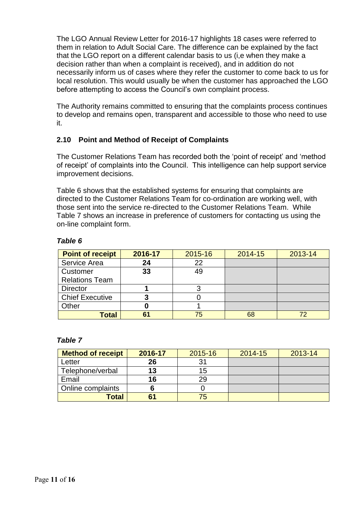The LGO Annual Review Letter for 2016-17 highlights 18 cases were referred to them in relation to Adult Social Care. The difference can be explained by the fact that the LGO report on a different calendar basis to us (i,e when they make a decision rather than when a complaint is received), and in addition do not necessarily inform us of cases where they refer the customer to come back to us for local resolution. This would usually be when the customer has approached the LGO before attempting to access the Council's own complaint process.

The Authority remains committed to ensuring that the complaints process continues to develop and remains open, transparent and accessible to those who need to use it.

# **2.10 Point and Method of Receipt of Complaints**

The Customer Relations Team has recorded both the 'point of receipt' and 'method of receipt' of complaints into the Council. This intelligence can help support service improvement decisions.

Table 6 shows that the established systems for ensuring that complaints are directed to the Customer Relations Team for co-ordination are working well, with those sent into the service re-directed to the Customer Relations Team. While Table 7 shows an increase in preference of customers for contacting us using the on-line complaint form.

#### *Table 6*

| <b>Point of receipt</b> | 2016-17 | 2015-16 | 2014-15 | 2013-14 |
|-------------------------|---------|---------|---------|---------|
| Service Area            | 24      | 22      |         |         |
| Customer                | 33      | 49      |         |         |
| <b>Relations Team</b>   |         |         |         |         |
| <b>Director</b>         |         |         |         |         |
| <b>Chief Executive</b>  | 3       |         |         |         |
| Other                   |         |         |         |         |
| Total                   | 61      | 75      | 68      |         |

| <b>Method of receipt</b> | 2016-17 | 2015-16 | 2014-15 | 2013-14 |
|--------------------------|---------|---------|---------|---------|
| Letter                   | 26      |         |         |         |
| Telephone/verbal         | 13      | 15      |         |         |
| Email                    | 16      | 29      |         |         |
| Online complaints        |         |         |         |         |
| Total                    |         | 75      |         |         |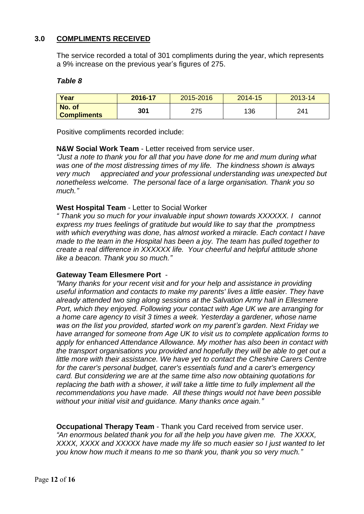# **3.0 COMPLIMENTS RECEIVED**

The service recorded a total of 301 compliments during the year, which represents a 9% increase on the previous year's figures of 275.

#### *Table 8*

| Year                         | 2016-17 | 2015-2016 | 2014-15 | 2013-14 |
|------------------------------|---------|-----------|---------|---------|
| No. of<br><b>Compliments</b> | 301     | 275       | 136     | 241     |

Positive compliments recorded include:

#### **N&W Social Work Team** - Letter received from service user.

*"Just a note to thank you for all that you have done for me and mum during what was one of the most distressing times of my life. The kindness shown is always very much appreciated and your professional understanding was unexpected but nonetheless welcome. The personal face of a large organisation. Thank you so much."*

#### **West Hospital Team** - Letter to Social Worker

*" Thank you so much for your invaluable input shown towards XXXXXX. I cannot express my trues feelings of gratitude but would like to say that the promptness with which everything was done, has almost worked a miracle. Each contact I have made to the team in the Hospital has been a joy. The team has pulled together to create a real difference in XXXXXX life. Your cheerful and helpful attitude shone like a beacon. Thank you so much."*

#### **Gateway Team Ellesmere Port** -

*"Many thanks for your recent visit and for your help and assistance in providing useful information and contacts to make my parents' lives a little easier. They have already attended two sing along sessions at the Salvation Army hall in Ellesmere Port, which they enjoyed. Following your contact with Age UK we are arranging for a home care agency to visit 3 times a week. Yesterday a gardener, whose name was on the list you provided, started work on my parent's garden. Next Friday we have arranged for someone from Age UK to visit us to complete application forms to apply for enhanced Attendance Allowance. My mother has also been in contact with the transport organisations you provided and hopefully they will be able to get out a little more with their assistance. We have yet to contact the Cheshire Carers Centre for the carer's personal budget, carer's essentials fund and a carer's emergency card. But considering we are at the same time also now obtaining quotations for replacing the bath with a shower, it will take a little time to fully implement all the recommendations you have made. All these things would not have been possible without your initial visit and guidance. Many thanks once again."*

**Occupational Therapy Team** - Thank you Card received from service user. *"An enormous belated thank you for all the help you have given me. The XXXX, XXXX, XXXX and XXXXX have made my life so much easier so I just wanted to let you know how much it means to me so thank you, thank you so very much."*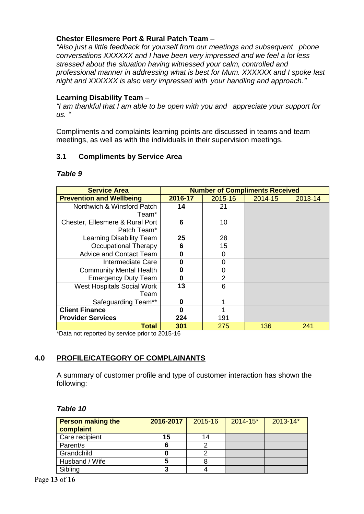# **Chester Ellesmere Port & Rural Patch Team** –

*"Also just a little feedback for yourself from our meetings and subsequent phone conversations XXXXXX and I have been very impressed and we feel a lot less stressed about the situation having witnessed your calm, controlled and professional manner in addressing what is best for Mum. XXXXXX and I spoke last night and XXXXXX is also very impressed with your handling and approach."*

#### **Learning Disability Team** –

*"I am thankful that I am able to be open with you and appreciate your support for us. "*

Compliments and complaints learning points are discussed in teams and team meetings, as well as with the individuals in their supervision meetings.

#### **3.1 Compliments by Service Area**

#### *Table 9*

| <b>Service Area</b>               | <b>Number of Compliments Received</b> |                |         |         |
|-----------------------------------|---------------------------------------|----------------|---------|---------|
| <b>Prevention and Wellbeing</b>   | 2016-17                               | 2015-16        | 2014-15 | 2013-14 |
| Northwich & Winsford Patch        | 14                                    | 21             |         |         |
| Team*                             |                                       |                |         |         |
| Chester, Ellesmere & Rural Port   | 6                                     | 10             |         |         |
| Patch Team*                       |                                       |                |         |         |
| Learning Disability Team          | 25                                    | 28             |         |         |
| <b>Occupational Therapy</b>       | 6                                     | 15             |         |         |
| <b>Advice and Contact Team</b>    | $\bf{0}$                              | 0              |         |         |
| Intermediate Care                 | $\bf{0}$                              | 0              |         |         |
| <b>Community Mental Health</b>    | $\bf{0}$                              | 0              |         |         |
| <b>Emergency Duty Team</b>        | $\bf{0}$                              | $\overline{2}$ |         |         |
| <b>West Hospitals Social Work</b> | 13                                    | 6              |         |         |
| Team                              |                                       |                |         |         |
| Safeguarding Team**               | 0                                     |                |         |         |
| <b>Client Finance</b>             | 0                                     |                |         |         |
| <b>Provider Services</b>          | 224                                   | 191            |         |         |
| Total                             | 301                                   | 275            | 136     | 241     |

\*Data not reported by service prior to 2015-16

# **4.0 PROFILE/CATEGORY OF COMPLAINANTS**

A summary of customer profile and type of customer interaction has shown the following:

| <b>Person making the</b><br>complaint | 2016-2017 | 2015-16 | $2014 - 15*$ | $2013 - 14*$ |
|---------------------------------------|-----------|---------|--------------|--------------|
| Care recipient                        | 15        | 14      |              |              |
| Parent/s                              |           |         |              |              |
| Grandchild                            |           |         |              |              |
| Husband / Wife                        |           |         |              |              |
| Sibling                               |           |         |              |              |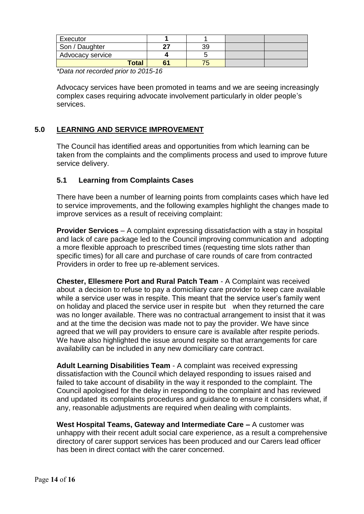| Executor         |    |    |  |
|------------------|----|----|--|
| Son / Daughter   |    | 39 |  |
| Advocacy service |    |    |  |
| <b>Total</b>     | с. |    |  |

*\*Data not recorded prior to 2015-16*

Advocacy services have been promoted in teams and we are seeing increasingly complex cases requiring advocate involvement particularly in older people's services.

#### **5.0 LEARNING AND SERVICE IMPROVEMENT**

The Council has identified areas and opportunities from which learning can be taken from the complaints and the compliments process and used to improve future service delivery.

#### **5.1 Learning from Complaints Cases**

There have been a number of learning points from complaints cases which have led to service improvements, and the following examples highlight the changes made to improve services as a result of receiving complaint:

**Provider Services** – A complaint expressing dissatisfaction with a stay in hospital and lack of care package led to the Council improving communication and adopting a more flexible approach to prescribed times (requesting time slots rather than specific times) for all care and purchase of care rounds of care from contracted Providers in order to free up re-ablement services.

**Chester, Ellesmere Port and Rural Patch Team** - A Complaint was received about a decision to refuse to pay a domiciliary care provider to keep care available while a service user was in respite. This meant that the service user's family went on holiday and placed the service user in respite but when they returned the care was no longer available. There was no contractual arrangement to insist that it was and at the time the decision was made not to pay the provider. We have since agreed that we will pay providers to ensure care is available after respite periods. We have also highlighted the issue around respite so that arrangements for care availability can be included in any new domiciliary care contract.

**Adult Learning Disabilities Team** - A complaint was received expressing dissatisfaction with the Council which delayed responding to issues raised and failed to take account of disability in the way it responded to the complaint. The Council apologised for the delay in responding to the complaint and has reviewed and updated its complaints procedures and guidance to ensure it considers what, if any, reasonable adjustments are required when dealing with complaints.

**West Hospital Teams, Gateway and Intermediate Care –** A customer was unhappy with their recent adult social care experience, as a result a comprehensive directory of carer support services has been produced and our Carers lead officer has been in direct contact with the carer concerned.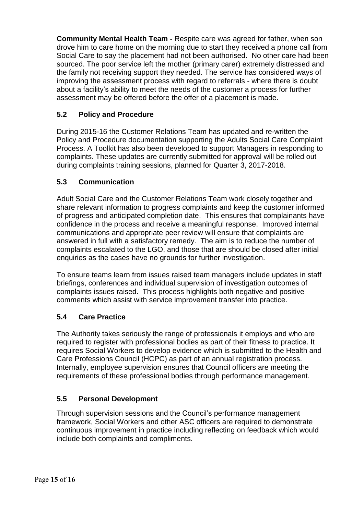**Community Mental Health Team -** Respite care was agreed for father, when son drove him to care home on the morning due to start they received a phone call from Social Care to say the placement had not been authorised. No other care had been sourced. The poor service left the mother (primary carer) extremely distressed and the family not receiving support they needed. The service has considered ways of improving the assessment process with regard to referrals - where there is doubt about a facility's ability to meet the needs of the customer a process for further assessment may be offered before the offer of a placement is made.

# **5.2 Policy and Procedure**

During 2015-16 the Customer Relations Team has updated and re-written the Policy and Procedure documentation supporting the Adults Social Care Complaint Process. A Toolkit has also been developed to support Managers in responding to complaints. These updates are currently submitted for approval will be rolled out during complaints training sessions, planned for Quarter 3, 2017-2018.

# **5.3 Communication**

Adult Social Care and the Customer Relations Team work closely together and share relevant information to progress complaints and keep the customer informed of progress and anticipated completion date. This ensures that complainants have confidence in the process and receive a meaningful response. Improved internal communications and appropriate peer review will ensure that complaints are answered in full with a satisfactory remedy. The aim is to reduce the number of complaints escalated to the LGO, and those that are should be closed after initial enquiries as the cases have no grounds for further investigation.

To ensure teams learn from issues raised team managers include updates in staff briefings, conferences and individual supervision of investigation outcomes of complaints issues raised. This process highlights both negative and positive comments which assist with service improvement transfer into practice.

# **5.4 Care Practice**

The Authority takes seriously the range of professionals it employs and who are required to register with professional bodies as part of their fitness to practice. It requires Social Workers to develop evidence which is submitted to the Health and Care Professions Council (HCPC) as part of an annual registration process. Internally, employee supervision ensures that Council officers are meeting the requirements of these professional bodies through performance management.

# **5.5 Personal Development**

Through supervision sessions and the Council's performance management framework, Social Workers and other ASC officers are required to demonstrate continuous improvement in practice including reflecting on feedback which would include both complaints and compliments.